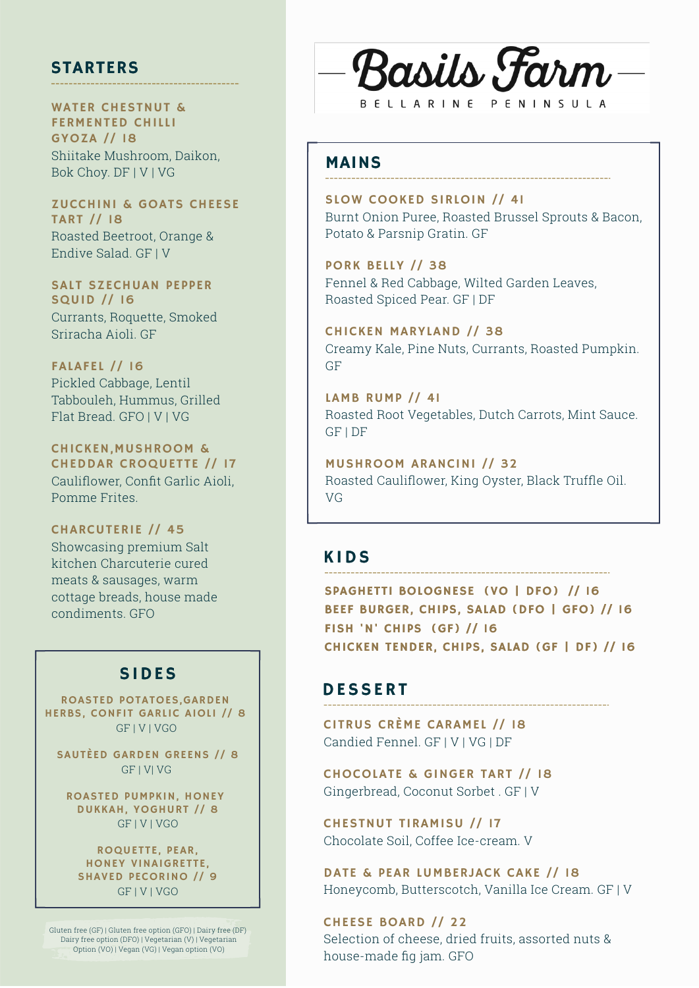## STARTERS

WATER CHESTNUT & FERMENTED CHILLI GYOZA // 18 Shiitake Mushroom, Daikon, Bok Choy. DF | V | VG

ZUCCHINI & GOATS CHEESE TART // 18 Roasted Beetroot, Orange & Endive Salad. GF | V

SALT SZECHUAN PEPPER SQUID // 16 Currants, Roquette, Smoked Sriracha Aioli. GF

FALAFEL // 16 Pickled Cabbage, Lentil Tabbouleh, Hummus, Grilled Flat Bread. GFO | V | VG

CHICKEN,MUSHROOM & CHEDDAR CROQUETTE // 17 Cauliflower, Confit Garlic Aioli, Pomme Frites.

CHARCUTERIE // 45 Showcasing premium Salt kitchen Charcuterie cured meats & sausages, warm cottage breads, house made condiments. GFO

## SIDES

ROASTED POTATOES,GARDEN HERBS, CONFIT GARLIC AIOLI // 8 GF | V | VGO

SAUTÈED GARDEN GREENS // 8 GF | V| VG

ROASTED PUMPKIN, HONEY DUKKAH, YOGHURT // 8 GF | V | VGO

ROQUETTE, PEAR, HONEY VINAIGRETTE, SHAVED PECORINO // 9 GF | V | VGO

Gluten free (GF) | Gluten free option (GFO) | Dairy free (DF) Dairy free option (DFO) | Vegetarian (V) | Vegetarian Option (VO) | Vegan (VG) | Vegan option (VO)



## MAINS

SLOW COOKED SIRLOIN // 41 Burnt Onion Puree, Roasted Brussel Sprouts & Bacon, Potato & Parsnip Gratin. GF

PORK BELLY // 38 Fennel & Red Cabbage, Wilted Garden Leaves, Roasted Spiced Pear. GF | DF

CHICKEN MARYLAND // 38 Creamy Kale, Pine Nuts, Currants, Roasted Pumpkin. GF

LAMB RUMP // 41 Roasted Root Vegetables, Dutch Carrots, Mint Sauce. GF | DF

MUSHROOM ARANCINI // 32 Roasted Cauliflower, King Oyster, Black Truffle Oil. VG

## **KIDS**

SPAGHETTI BOLOGNESE (VO | DFO) // 16 BEEF BURGER, CHIPS, SALAD (DFO | GFO) // 16 FISH 'N' CHIPS (GF) // 16 CHICKEN TENDER, CHIPS, SALAD (GF | DF) // 16

## **DESSERT**

CITRUS CRÈME CARAMEL // 18 Candied Fennel. GF | V | VG | DF

CHOCOLATE & GINGER TART // 18 Gingerbread, Coconut Sorbet . GF | V

CHESTNUT TIRAMISU // 17 Chocolate Soil, Coffee Ice-cream. V

DATE & PEAR LUMBERJACK CAKE // 18 Honeycomb, Butterscotch, Vanilla Ice Cream. GF | V

CHEESE BOARD // 22 Selection of cheese, dried fruits, assorted nuts & house-made fig jam. GFO